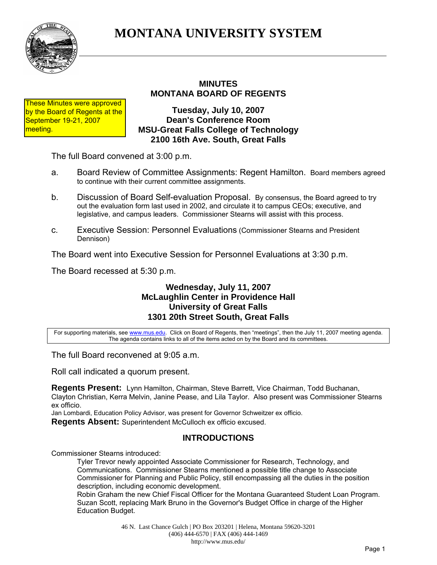

# **MONTANA UNIVERSITY SYSTEM**

# **MINUTES MONTANA BOARD OF REGENTS**

These Minutes were approved by the Board of Regents at the September 19-21, 2007 meeting.

**Tuesday, July 10, 2007 Dean's Conference Room MSU-Great Falls College of Technology 2100 16th Ave. South, Great Falls**

The full Board convened at 3:00 p.m.

- a. Board Review of Committee Assignments: Regent Hamilton. Board members agreed to continue with their current committee assignments.
- b. Discussion of Board Self-evaluation Proposal. By consensus, the Board agreed to try out the evaluation form last used in 2002, and circulate it to campus CEOs; executive, and legislative, and campus leaders. Commissioner Stearns will assist with this process.
- c. Executive Session: Personnel Evaluations (Commissioner Stearns and President Dennison)

The Board went into Executive Session for Personnel Evaluations at 3:30 p.m.

The Board recessed at 5:30 p.m.

## **Wednesday, July 11, 2007 McLaughlin Center in Providence Hall University of Great Falls 1301 20th Street South, Great Falls**

For supporting materials, see www.mus.edu. Click on Board of Regents, then "meetings", then the July 11, 2007 meeting agenda. The agenda contains links to all of the items acted on by the Board and its committees.

The full Board reconvened at 9:05 a.m.

Roll call indicated a quorum present.

**Regents Present:** Lynn Hamilton, Chairman, Steve Barrett, Vice Chairman, Todd Buchanan, Clayton Christian, Kerra Melvin, Janine Pease, and Lila Taylor. Also present was Commissioner Stearns ex officio.

Jan Lombardi, Education Policy Advisor, was present for Governor Schweitzer ex officio.

**Regents Absent:** Superintendent McCulloch ex officio excused.

# **INTRODUCTIONS**

Commissioner Stearns introduced:

Tyler Trevor newly appointed Associate Commissioner for Research, Technology, and Communications. Commissioner Stearns mentioned a possible title change to Associate Commissioner for Planning and Public Policy, still encompassing all the duties in the position description, including economic development.

Robin Graham the new Chief Fiscal Officer for the Montana Guaranteed Student Loan Program. Suzan Scott, replacing Mark Bruno in the Governor's Budget Office in charge of the Higher Education Budget.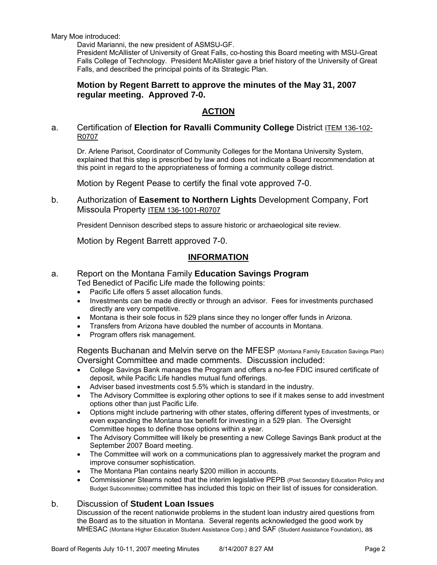Mary Moe introduced:

David Marianni, the new president of ASMSU-GF.

President McAllister of University of Great Falls, co-hosting this Board meeting with MSU-Great Falls College of Technology. President McAllister gave a brief history of the University of Great Falls, and described the principal points of its Strategic Plan.

## **Motion by Regent Barrett to approve the minutes of the May 31, 2007 regular meeting. Approved 7-0.**

# **ACTION**

#### a. Certification of **Election for Ravalli Community College** District ITEM 136-102- R0707

Dr. Arlene Parisot, Coordinator of Community Colleges for the Montana University System, explained that this step is prescribed by law and does not indicate a Board recommendation at this point in regard to the appropriateness of forming a community college district.

Motion by Regent Pease to certify the final vote approved 7-0.

b. Authorization of **Easement to Northern Lights** Development Company, Fort Missoula Property ITEM 136-1001-R0707

President Dennison described steps to assure historic or archaeological site review.

Motion by Regent Barrett approved 7-0.

## **INFORMATION**

#### a. Report on the Montana Family **Education Savings Program** Ted Benedict of Pacific Life made the following points:

- Pacific Life offers 5 asset allocation funds.
- Investments can be made directly or through an advisor. Fees for investments purchased directly are very competitive.
- Montana is their sole focus in 529 plans since they no longer offer funds in Arizona.
- Transfers from Arizona have doubled the number of accounts in Montana.
- Program offers risk management.

Regents Buchanan and Melvin serve on the MFESP (Montana Family Education Savings Plan) Oversight Committee and made comments. Discussion included:

- College Savings Bank manages the Program and offers a no-fee FDIC insured certificate of deposit, while Pacific Life handles mutual fund offerings.
- Adviser based investments cost 5.5% which is standard in the industry.
- The Advisory Committee is exploring other options to see if it makes sense to add investment options other than just Pacific Life.
- Options might include partnering with other states, offering different types of investments, or even expanding the Montana tax benefit for investing in a 529 plan. The Oversight Committee hopes to define those options within a year.
- The Advisory Committee will likely be presenting a new College Savings Bank product at the September 2007 Board meeting.
- The Committee will work on a communications plan to aggressively market the program and improve consumer sophistication.
- The Montana Plan contains nearly \$200 million in accounts.
- Commissioner Stearns noted that the interim legislative PEPB (Post Secondary Education Policy and Budget Subcommittee) committee has included this topic on their list of issues for consideration.

#### b. Discussion of **Student Loan Issues**

Discussion of the recent nationwide problems in the student loan industry aired questions from the Board as to the situation in Montana. Several regents acknowledged the good work by MHESAC (Montana Higher Education Student Assistance Corp.) and SAF (Student Assistance Foundation), as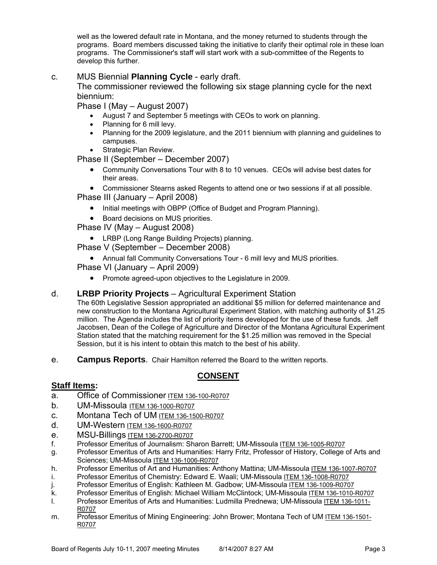well as the lowered default rate in Montana, and the money returned to students through the programs. Board members discussed taking the initiative to clarify their optimal role in these loan programs. The Commissioner's staff will start work with a sub-committee of the Regents to develop this further.

## c. MUS Biennial **Planning Cycle** - early draft.

The commissioner reviewed the following six stage planning cycle for the next biennium:

Phase I (May – August 2007)

- August 7 and September 5 meetings with CEOs to work on planning.
- Planning for 6 mill levy.
- Planning for the 2009 legislature, and the 2011 biennium with planning and guidelines to campuses.
- Strategic Plan Review.

Phase II (September – December 2007)

• Community Conversations Tour with 8 to 10 venues. CEOs will advise best dates for their areas.

• Commissioner Stearns asked Regents to attend one or two sessions if at all possible.

- Phase III (January April 2008)
	- Initial meetings with OBPP (Office of Budget and Program Planning).
	- Board decisions on MUS priorities.

Phase IV (May – August 2008)

• LRBP (Long Range Building Projects) planning.

Phase V (September – December 2008)

• Annual fall Community Conversations Tour - 6 mill levy and MUS priorities.

Phase VI (January – April 2009)

• Promote agreed-upon objectives to the Legislature in 2009.

#### d. **LRBP Priority Projects** – Agricultural Experiment Station

The 60th Legislative Session appropriated an additional \$5 million for deferred maintenance and new construction to the Montana Agricultural Experiment Station, with matching authority of \$1.25 million. The Agenda includes the list of priority items developed for the use of these funds. Jeff Jacobsen, Dean of the College of Agriculture and Director of the Montana Agricultural Experiment Station stated that the matching requirement for the \$1.25 million was removed in the Special Session, but it is his intent to obtain this match to the best of his ability.

e. **Campus Reports**. Chair Hamilton referred the Board to the written reports.

# **CONSENT**

## **Staff Items:**

- a. Office of Commissioner ITEM 136-100-R0707
- b. UM-Missoula ITEM 136-1000-R0707
- c. Montana Tech of UM ITEM 136-1500-R0707
- d. UM-Western ITEM 136-1600-R0707
- e. MSU-Billings ITEM 136-2700-R0707
- f. Professor Emeritus of Journalism: Sharon Barrett; UM-Missoula ITEM 136-1005-R0707
- g. Professor Emeritus of Arts and Humanities: Harry Fritz, Professor of History, College of Arts and Sciences; UM-Missoula ITEM 136-1006-R0707
- h. Professor Emeritus of Art and Humanities: Anthony Mattina; UM-Missoula ITEM 136-1007-R0707
- i. Professor Emeritus of Chemistry: Edward E. Waali; UM-Missoula ITEM 136-1008-R0707
- j. Professor Emeritus of English: Kathleen M. Gadbow; UM-Missoula ITEM 136-1009-R0707
- k. Professor Emeritus of English: Michael William McClintock; UM-Missoula ITEM 136-1010-R0707
- l. Professor Emeritus of Arts and Humanities: Ludmilla Prednewa; UM-Missoula ITEM 136-1011- R0707
- m. Professor Emeritus of Mining Engineering: John Brower; Montana Tech of UM ITEM 136-1501-R0707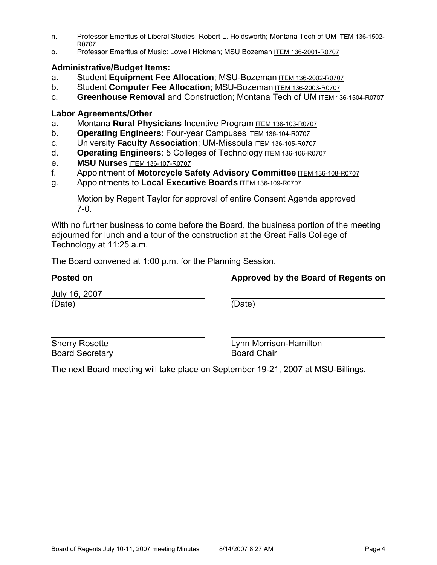- n. Professor Emeritus of Liberal Studies: Robert L. Holdsworth; Montana Tech of UM ITEM 136-1502- R0707
- o. Professor Emeritus of Music: Lowell Hickman; MSU Bozeman ITEM 136-2001-R0707

#### **Administrative/Budget Items:**

- a. Student **Equipment Fee Allocation**; MSU-Bozeman ITEM 136-2002-R0707
- b. Student **Computer Fee Allocation**; MSU-Bozeman ITEM 136-2003-R0707
- c. **Greenhouse Removal** and Construction; Montana Tech of UM ITEM 136-1504-R0707

## **Labor Agreements/Other**

- a. Montana **Rural Physicians** Incentive Program ITEM 136-103-R0707
- b. **Operating Engineers**: Four-year Campuses ITEM 136-104-R0707
- c. University **Faculty Association**; UM-Missoula ITEM 136-105-R0707
- d. **Operating Engineers**: 5 Colleges of Technology ITEM 136-106-R0707
- e. **MSU Nurses** ITEM 136-107-R0707
- f. Appointment of **Motorcycle Safety Advisory Committee** ITEM 136-108-R0707
- g. Appointments to **Local Executive Boards** ITEM 136-109-R0707

Motion by Regent Taylor for approval of entire Consent Agenda approved 7-0.

With no further business to come before the Board, the business portion of the meeting adjourned for lunch and a tour of the construction at the Great Falls College of Technology at 11:25 a.m.

The Board convened at 1:00 p.m. for the Planning Session.

| <b>Posted on</b>               | Approved by the Board of Regents on |  |
|--------------------------------|-------------------------------------|--|
| <u>July 16, 2007</u><br>(Date) | (Date)                              |  |
|                                |                                     |  |

Board Secretary **Board Chair** 

 $\overline{a}$ 

Sherry Rosette **Lynn Morrison-Hamilton** 

The next Board meeting will take place on September 19-21, 2007 at MSU-Billings.